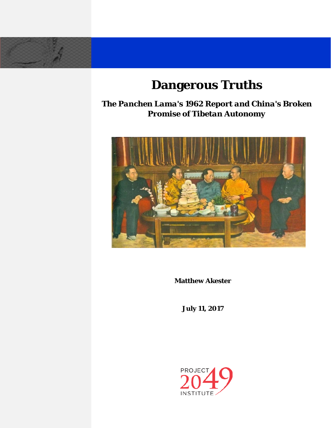# **Dangerous Truths**

*The Panchen Lama's 1962 Report and China's Broken Promise of Tibetan Autonomy*



**Matthew Akester**

**July 11, 2017**

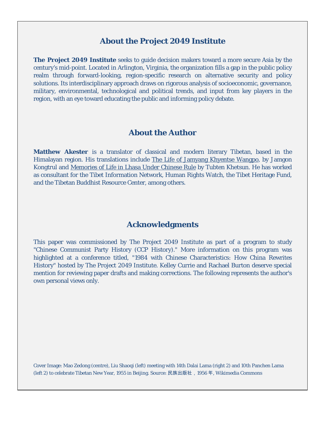#### **About the Project 2049 Institute**

**The Project 2049 Institute** seeks to guide decision makers toward a more secure Asia by the century's mid-point. Located in Arlington, Virginia, the organization fills a gap in the public policy realm through forward-looking, region-specific research on alternative security and policy solutions. Its interdisciplinary approach draws on rigorous analysis of socioeconomic, governance, military, environmental, technological and political trends, and input from key players in the region, with an eye toward educating the public and informing policy debate.

#### **About the Author**

**Matthew Akester** is a translator of classical and modern literary Tibetan, based in the Himalayan region. His translations include The Life of Jamyang Khyentse Wangpo, by Jamgon Kongtrul and Memories of Life in Lhasa Under Chinese Rule by Tubten Khetsun. He has worked as consultant for the Tibet Information Network, Human Rights Watch, the Tibet Heritage Fund, and the Tibetan Buddhist Resource Center, among others.

### **Acknowledgments**

This paper was commissioned by The Project 2049 Institute as part of a program to study "Chinese Communist Party History (CCP History)." More information on this program was highlighted at a conference titled, "1984 with Chinese Characteristics: How China Rewrites History" hosted by The Project 2049 Institute. Kelley Currie and Rachael Burton deserve special mention for reviewing paper drafts and making corrections. The following represents the author's own personal views only.

Cover Image: Mao Zedong (centre), Liu Shaoqi (left) meeting with 14th Dalai Lama (right 2) and 10th Panchen Lama (left 2) to celebrate Tibetan New Year, 1955 in Beijing. Source: 民族出版社,1956 年, Wikimedia Commons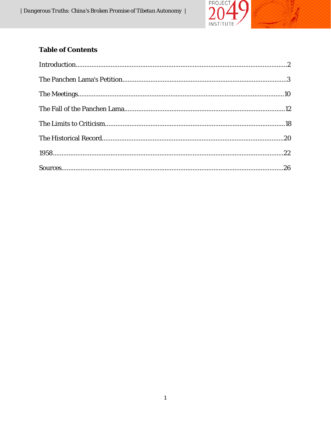

## **Table of Contents**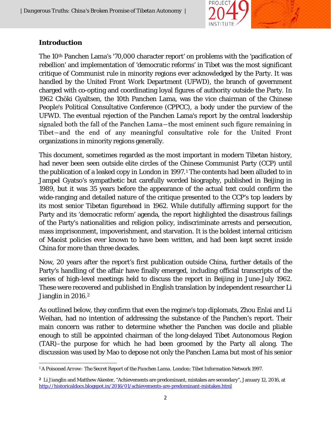

#### **Introduction**

The 10th Panchen Lama's '70,000 character report' on problems with the 'pacification of rebellion' and implementation of 'democratic reforms' in Tibet was the most significant critique of Communist rule in minority regions ever acknowledged by the Party. It was handled by the United Front Work Department (UFWD), the branch of government charged with co-opting and coordinating loyal figures of authority outside the Party. In 1962 Chöki Gyaltsen, the 10th Panchen Lama, was the vice chairman of the Chinese People's Political Consultative Conference (CPPCC), a body under the purview of the UFWD. The eventual rejection of the Panchen Lama's report by the central leadership signaled both the fall of the Panchen Lama―the most eminent such figure remaining in Tibet―and the end of any meaningful consultative role for the United Front organizations in minority regions generally.

This document, sometimes regarded as the most important in modern Tibetan history, had never been seen outside elite circles of the Chinese Communist Party (CCP) until the publication of a leaked copy in London in 1997.[1](#page-3-0) The contents had been alluded to in Jampel Gyatso's sympathetic but carefully worded biography, published in Beijing in 1989, but it was 35 years before the appearance of the actual text could confirm the wide-ranging and detailed nature of the critique presented to the CCP's top leaders by its most senior Tibetan figurehead in 1962. While dutifully affirming support for the Party and its 'democratic reform' agenda, the report highlighted the disastrous failings of the Party's nationalities and religion policy, indiscriminate arrests and persecution, mass imprisonment, impoverishment, and starvation. It is the boldest internal criticism of Maoist policies ever known to have been written, and had been kept secret inside China for more than three decades.

Now, 20 years after the report's first publication outside China, further details of the Party's handling of the affair have finally emerged, including official transcripts of the series of high-level meetings held to discuss the report in Beijing in June-July 1962. These were recovered and published in English translation by independent researcher Li Jianglin in [2](#page-3-1)016.<sup>2</sup>

As outlined below, they confirm that even the regime's top diplomats, Zhou Enlai and Li Weihan, had no intention of addressing the substance of the Panchen's report. Their main concern was rather to determine whether the Panchen was docile and pliable enough to still be appointed chairman of the long-delayed Tibet Autonomous Region (TAR)–the purpose for which he had been groomed by the Party all along. The discussion was used by Mao to depose not only the Panchen Lama but most of his senior

<span id="page-3-0"></span>l <sup>1</sup> *A Poisoned Arrow: The Secret Report of the Panchen Lama*. London: Tibet Information Network 1997.

<span id="page-3-1"></span>**<sup>2</sup>** Li Jianglin and Matthew Akester, "Achievements are predominant, mistakes are secondary", January 12, 2016, at <http://historicaldocs.blogspot.in/2016/01/achievements-are-predominant-mistakes.html>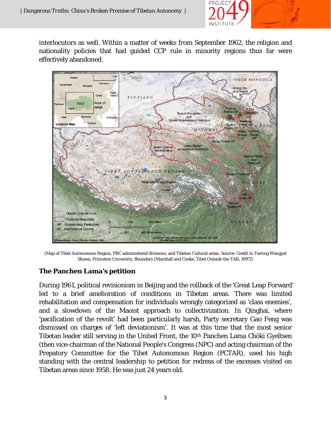

interlocutors as well. Within a matter of weeks from September 1962, the religion and nationality policies that had guided CCP rule in minority regions thus far were effectively abandoned.



(Map of Tibet Autonomous Region, PRC administered divisions, and Tibetan Cultural areas. Source: Credit to Tsering Wangyal Shawa, Princeton University; Boundary [Marshall and Cooke, Tibet Outside the TAR, 1997])

### **The Panchen Lama's petition**

During 1961, political revisionism in Beijing and the rollback of the 'Great Leap Forward' led to a brief amelioration of conditions in Tibetan areas. There was limited rehabilitation and compensation for individuals wrongly categorized as 'class enemies', and a slowdown of the Maoist approach to collectivization. In Qinghai, where 'pacification of the revolt' had been particularly harsh, Party secretary Gao Feng was dismissed on charges of 'left deviationism'. It was at this time that the most senior Tibetan leader still serving in the United Front, the 10th Panchen Lama Chöki Gyeltsen (then vice-chairman of the National People's Congress (NPC) and acting chairman of the Prepatory Committee for the Tibet Autonomous Region (PCTAR), used his high standing with the central leadership to petition for redress of the excesses visited on Tibetan areas since 1958. He was just 24 years old.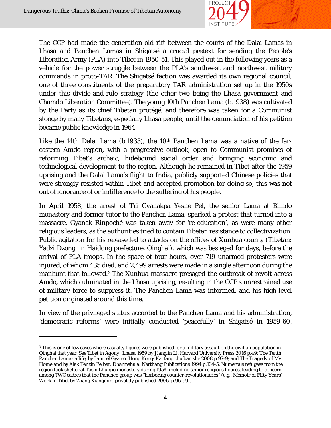l



The CCP had made the generation-old rift between the courts of the Dalai Lamas in Lhasa and Panchen Lamas in Shigatsé a crucial pretext for sending the People's Liberation Army (PLA) into Tibet in 1950-51. This played out in the following years as a vehicle for the power struggle between the PLA's southwest and northwest military commands in proto-TAR. The Shigatsé faction was awarded its own regional council, one of three constituents of the preparatory TAR administration set up in the 1950s under this divide-and-rule strategy (the other two being the Lhasa government and Chamdo Liberation Committee). The young 10th Panchen Lama (b.1938) was cultivated by the Party as its chief Tibetan protégé, and therefore was taken for a Communist stooge by many Tibetans, especially Lhasa people, until the denunciation of his petition became public knowledge in 1964.

Like the 14th Dalai Lama (b.1935), the 10<sup>th</sup> Panchen Lama was a native of the fareastern Amdo region, with a progressive outlook, open to Communist promises of reforming Tibet's archaic, hidebound social order and bringing economic and technological development to the region. Although he remained in Tibet after the 1959 uprising and the Dalai Lama's flight to India, publicly supported Chinese policies that were strongly resisted within Tibet and accepted promotion for doing so, this was not out of ignorance of or indifference to the suffering of his people.

In April 1958, the arrest of Tri Gyanakpa Yeshe Pel, the senior Lama at Bimdo monastery and former tutor to the Panchen Lama, sparked a protest that turned into a massacre. Gyanak Rinpoché was taken away for 're-education', as were many other religious leaders, as the authorities tried to contain Tibetan resistance to collectivization. Public agitation for his release led to attacks on the offices of Xunhua county (Tibetan: Yadzi Dzong, in Haidong prefecture, Qinghai), which was besieged for days, before the arrival of PLA troops. In the space of four hours, over 719 unarmed protesters were injured, of whom 435 died, and 2,499 arrests were made in a single afternoon during the manhunt that followed.[3](#page-5-0) The Xunhua massacre presaged the outbreak of revolt across Amdo, which culminated in the Lhasa uprising, resulting in the CCP's unrestrained use of military force to suppress it. The Panchen Lama was informed, and his high-level petition originated around this time.

In view of the privileged status accorded to the Panchen Lama and his administration, 'democratic reforms' were initially conducted 'peacefully' in Shigatsé in 1959-60,

<span id="page-5-0"></span><sup>&</sup>lt;sup>3</sup> This is one of few cases where casualty figures were published for a military assault on the civilian population in Qinghai that year. See *Tibet in Agony: Lhasa 1959* by Jianglin Li, Harvard University Press 2016 p.49; *The Tenth*  Panchen Lama: a life, by Jampel Gyatso. Hong Kong: Kai fang chu ban she 2008 p.97-9; and *The Tragedy of My Homeland* by Alak Tenzin Pelbar. Dharmshala: Narthang Publications 1994 p.134-5. Numerous refugees from the region took shelter at Tashi Lhunpo monastery during 1958, including senior religious figures, leading to concern among TWC cadres that the Panchen group was "harboring counter-revolutionaries" (e.g., *Memoir of Fifty Years' Work in Tibet* by Zhang Xiangmin, privately published 2006, p.96-99).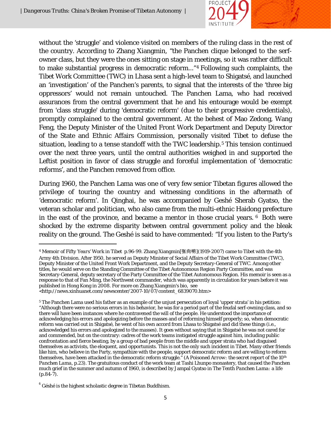l



without the 'struggle' and violence visited on members of the ruling class in the rest of the country. According to Zhang Xiangmin, "the Panchen clique belonged to the serfowner class, but they were the ones sitting on stage in meetings, so it was rather difficult to make substantial progress in democratic reform..."[4](#page-6-0) Following such complaints, the Tibet Work Committee (TWC) in Lhasa sent a high-level team to Shigatsé, and launched an 'investigation' of the Panchen's parents, to signal that the interests of the 'three big oppressors' would not remain untouched. The Panchen Lama, who had received assurances from the central government that he and his entourage would be exempt from 'class struggle' during 'democratic reform' (due to their progressive credentials), promptly complained to the central government. At the behest of Mao Zedong, Wang Feng, the Deputy Minister of the United Front Work Department and Deputy Director of the State and Ethnic Affairs Commission, personally visited Tibet to defuse the situation, leading to a tense standoff with the TWC leadership.<sup>[5](#page-6-1)</sup> This tension continued over the next three years, until the central authorities weighed in and supported the Leftist position in favor of class struggle and forceful implementation of 'democratic reforms', and the Panchen removed from office.

During 1960, the Panchen Lama was one of very few senior Tibetan figures allowed the privilege of touring the country and witnessing conditions in the aftermath of 'democratic reform'. In Qinghai, he was accompanied by Geshé Sherab Gyatso, the veteran scholar and politician, who also came from the multi-ethnic Haidong prefecture in the east of the province, and became a mentor in those crucial years.  $6$  Both were shocked by the extreme disparity between central government policy and the bleak reality on the ground. The Geshé is said to have commented: "If you listen to the Party's

<span id="page-6-0"></span><sup>4</sup> *Memoir of Fifty Years' Work in Tibet* p.96-99. Zhang Xiangmin[张向明](1919-2007) came to Tibet with the 4th Army 4th Division. After 1950, he served as Deputy Minister of Social Affairs of the Tibet Work Committee (TWC), Deputy Minister of the United Front Work Department, and the Deputy Secretary-General of TWC. Among other titles, he would serve on the Standing Committee of the Tibet Autonomous Region Party Committee, and was Secretary-General, deputy secretary of the Party Committee of the Tibet Autonomous Region. His memoir is seen as a response to that of Fan Ming, the Northwest commander, which was apparently in circulation for years before it was published in Hong Kong in 2008. For more on Zhang Xiangmin's bio, see

<sup>&</sup>lt;http://news.xinhuanet.com/newscenter/2007-10/07/content\_6839070.htm>

<span id="page-6-1"></span><sup>5</sup> The Panchen Lama used his father as an example of the unjust persecution of loyal 'upper strata' in his petition: "Although there were no serious errors in his behavior, he was for a period part of the feudal serf-owning class, and so there will have been instances where he contravened the will of the people. He understood the importance of acknowledging his errors and apologizing before the masses and of reforming himself properly; so, when democratic reform was carried out in Shigatsé, he went of his own accord from Lhasa to Shigatsé and did these things (i.e., acknowledged his errors and apologized to the masses). It goes without saying that in Shigatsé he was not cared for and commended, but on the contrary: cadres of the work teams instigated struggle against him, including public confrontation and fierce beating, by a group of bad people from the middle and upper strata who had disguised themselves as activists, the eloquent, and opportunists. This is not the only such incident in Tibet. Many other friends like him, who believe in the Party, sympathize with the people, support democratic reform and are willing to reform themselves, have been attacked in the democratic reform struggle." (*A Poisoned Arrow: the secret report of the 10th Panchen Lama*, p.23). The gratuitous conduct of the work team at Tashi Lhunpo monastery, that caused the Panchen much grief in the summer and autumn of 1960, is described by Jampal Gyatso in *The Tenth Panchen Lama: a life*  $(p.84-7)$ .

<span id="page-6-2"></span> $6$  Géshé is the highest scholastic degree in Tibetan Buddhism.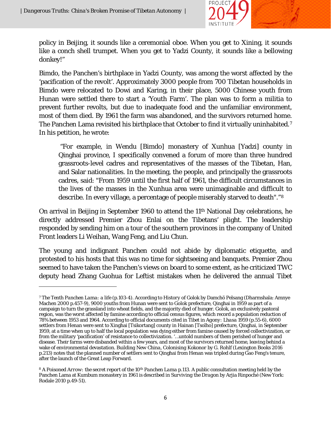$\overline{\phantom{a}}$ 



policy in Beijing, it sounds like a ceremonial oboe. When you get to Xining, it sounds like a conch shell trumpet. When you get to Yadzi County, it sounds like a bellowing donkey!"

Bimdo, the Panchen's birthplace in Yadzi County, was among the worst affected by the 'pacification of the revolt'. Approximately 3000 people from 700 Tibetan households in Bimdo were relocated to Dowi and Karing, in their place, 5000 Chinese youth from Hunan were settled there to start a 'Youth Farm'. The plan was to form a militia to prevent further revolts, but due to inadequate food and the unfamiliar environment, most of them died. By 1961 the farm was abandoned, and the survivors returned home. The Panchen Lama revisited his birthplace that October to find it virtually uninhabited.<sup>[7](#page-7-0)</sup> In his petition, he wrote:

"For example, in Wendu [Bimdo] monastery of Xunhua [Yadzi] county in Qinghai province, I specifically convened a forum of more than three hundred grassroots-level cadres and representatives of the masses of the Tibetan, Han, and Salar nationalities. In the meeting, the people, and principally the grassroots cadres, said: "From 1959 until the first half of 1961, the difficult circumstances in the lives of the masses in the Xunhua area were unimaginable and difficult to describe. In every village, a percentage of people miserably starved to death"."[8](#page-7-1)

On arrival in Beijing in September 1960 to attend the 11th National Day celebrations, he directly addressed Premier Zhou Enlai on the Tibetans' plight. The leadership responded by sending him on a tour of the southern provinces in the company of United Front leaders Li Weihan, Wang Feng, and Liu Chun.

The young and indignant Panchen could not abide by diplomatic etiquette, and protested to his hosts that this was no time for sightseeing and banquets. Premier Zhou seemed to have taken the Panchen's views on board to some extent, as he criticized TWC deputy head Zhang Guohua for Leftist mistakes when he delivered the annual Tibet

<span id="page-7-0"></span><sup>7</sup> *The Tenth Panchen Lama: a life* (p.103-4). According to *History of Golok* by Damchö Pelsang (Dharmshala: Amnye Machen 2000 p.457-9), 9000 youths from Hunan were sent to Golok prefecture, Qinghai in 1959 as part of a campaign to turn the grassland into wheat fields, and the majority died of hunger. Golok, an exclusively pastoral region, was the worst affected by famine according to official census figures, which record a population reduction of 78% between 1953 and 1964. According to official documents cited in *Tibet in Agony: Lhasa 1959* (p.55-6), 6000 settlers from Henan were sent to Xinghai [Tsikortang] county in Hainan [Tsolho] prefecture, Qinghai, in September 1959, at a time when up to half the local population was dying either from famine caused by forced collectivization, or from the military 'pacification' of resistance to collectivization. '…untold numbers of them perished of hunger and disease. Their farms were disbanded within a few years, and most of the survivors returned home, leaving behind a wake of environmental devastation. *Building New China, Colonising Kokonor* by G. Rohlf (Lexington Books 2016 p.213) notes that the planned number of settlers sent to Qinghai from Henan was tripled during Gao Feng's tenure, after the launch of the Great Leap Forward.

<span id="page-7-1"></span><sup>8</sup> *A Poisoned Arrow: the secret report of the 10th Panchen Lama* p.113. A public consultation meeting held by the Panchen Lama at Kumbum monastery in 1961 is described in *Surviving the Dragon* by Arjia Rinpoché (New York: Rodale 2010 p.49-51).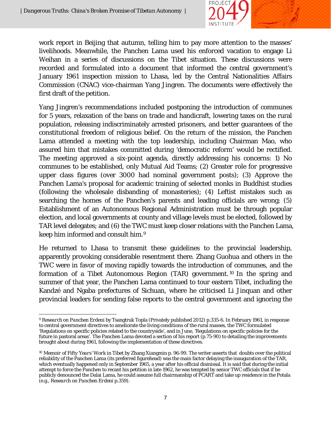

work report in Beijing that autumn, telling him to pay more attention to the masses' livelihoods. Meanwhile, the Panchen Lama used his enforced vacation to engage Li Weihan in a series of discussions on the Tibet situation. These discussions were recorded and formulated into a document that informed the central government's January 1961 inspection mission to Lhasa, led by the Central Nationalities Affairs Commission (CNAC) vice-chairman Yang Jingren. The documents were effectively the first draft of the petition.

Yang Jingren's recommendations included postponing the introduction of communes for 5 years, relaxation of the bans on trade and handicraft, lowering taxes on the rural population, releasing indiscriminately arrested prisoners, and better guarantees of the constitutional freedom of religious belief. On the return of the mission, the Panchen Lama attended a meeting with the top leadership, including Chairman Mao, who assured him that mistakes committed during 'democratic reform' would be rectified. The meeting approved a six-point agenda, directly addressing his concerns: 1) No communes to be established, only Mutual Aid Teams; (2) Greater role for progressive upper class figures (over 3000 had nominal government posts); (3) Approve the Panchen Lama's proposal for academic training of selected monks in Buddhist studies (following the wholesale disbanding of monasteries); (4) Leftist mistakes such as searching the homes of the Panchen's parents and leading officials are wrong; (5) Establishment of an Autonomous Regional Administration must be through popular election, and local governments at county and village levels must be elected, followed by TAR level delegates; and (6) the TWC must keep closer relations with the Panchen Lama, keep him informed and consult him.[9](#page-8-0)

He returned to Lhasa to transmit these guidelines to the provincial leadership, apparently provoking considerable resentment there. Zhang Guohua and others in the TWC were in favor of moving rapidly towards the introduction of communes, and the formation of a Tibet Autonomous Region (TAR) government. [10](#page-8-1) In the spring and summer of that year, the Panchen Lama continued to tour eastern Tibet, including the Kandzé and Ngaba prefectures of Sichuan, where he criticised Li Jinquan and other provincial leaders for sending false reports to the central government and ignoring the

<span id="page-8-0"></span> $\overline{a}$ <sup>9</sup> *Research on Panchen Erdeni* by Tsangtruk Topla (Privately published 2012) p.335-6. In February 1961, in response to central government directives to ameliorate the living conditions of the rural masses, the TWC formulated 'Regulations on specific policies related to the countryside', and in June, 'Regulations on specific policies for the future in pastoral areas'. The Panchen Lama devoted a section of his report (p.75-90) to detailing the improvements brought about during 1961, following the implementation of these directives.

<span id="page-8-1"></span><sup>10</sup> *Memoir of Fifty Years' Work in Tibet* by Zhang Xiangmin p. 96-99. The writer asserts that doubts over the political reliability of the Panchen Lama (its preferred figurehead) was the main factor delaying the inauguration of the TAR, which eventually happened only in September 1965, a year after his official dismissal. It is said that during the initial attempt to force the Panchen to recant his petition in late 1962, he was tempted by senior TWC officials that if he publicly denounced the Dalai Lama, he could assume full chairmanship of PCART and take up residence in the Potala (e.g., *Research on Panchen Erdeni* p.359).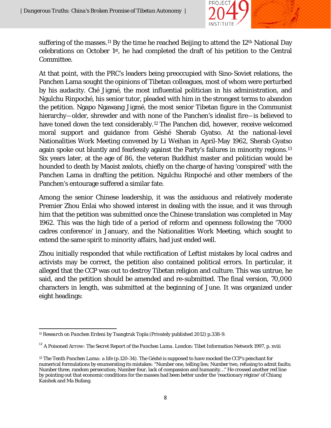

suffering of the masses.<sup>[11](#page-9-0)</sup> By the time he reached Beijing to attend the  $12<sup>th</sup>$  National Day celebrations on October 1st, he had completed the draft of his petition to the Central Committee.

At that point, with the PRC's leaders being preoccupied with Sino-Soviet relations, the Panchen Lama sought the opinions of Tibetan colleagues, most of whom were perturbed by his audacity. Ché Jigmé, the most influential politician in his administration, and Ngulchu Rinpoché, his senior tutor, pleaded with him in the strongest terms to abandon the petition. Ngapo Ngawang Jigmé, the most senior Tibetan figure in the Communist hierarchy―older, shrewder and with none of the Panchen's idealist fire―is believed to have toned down the text considerably.<sup>[12](#page-9-1)</sup> The Panchen did, however, receive welcomed moral support and guidance from Géshé Sherab Gyatso. At the national-level Nationalities Work Meeting convened by Li Weihan in April-May 1962, Sherab Gyatso again spoke out bluntly and fearlessly against the Party's failures in minority regions.<sup>[13](#page-9-2)</sup> Six years later, at the age of 86, the veteran Buddhist master and politician would be hounded to death by Maoist zealots, chiefly on the charge of having 'conspired' with the Panchen Lama in drafting the petition. Ngulchu Rinpoché and other members of the Panchen's entourage suffered a similar fate.

Among the senior Chinese leadership, it was the assiduous and relatively moderate Premier Zhou Enlai who showed interest in dealing with the issue, and it was through him that the petition was submitted once the Chinese translation was completed in May 1962. This was the high tide of a period of reform and openness following the '7000 cadres conference' in January, and the Nationalities Work Meeting, which sought to extend the same spirit to minority affairs, had just ended well.

Zhou initially responded that while rectification of Leftist mistakes by local cadres and activists may be correct, the petition also contained political errors. In particular, it alleged that the CCP was out to destroy Tibetan religion and culture. This was untrue, he said, and the petition should be amended and re-submitted. The final version, 70,000 characters in length, was submitted at the beginning of June. It was organized under eight headings:

<span id="page-9-0"></span>l <sup>11</sup> *Research on Panchen Erdeni* by Tsangtruk Topla (Privately published 2012) p.338-9.

<span id="page-9-1"></span><sup>&</sup>lt;sup>12</sup> *A Poisoned Arrow: The Secret Report of the Panchen Lama*. London: Tibet Information Network 1997, p. xviii

<span id="page-9-2"></span><sup>13</sup> *The Tenth Panchen Lama: a life* (p.120-34). The Géshé is supposed to have mocked the CCP's penchant for numerical formulations by enumerating its mistakes: ''Number one, telling lies; Number two, refusing to admit faults; Number three, random persecution; Number four, lack of compassion and humanity…" He crossed another red line by pointing out that economic conditions for the masses had been better under the 'reactionary régime' of Chiang Kaishek and Ma Bufang.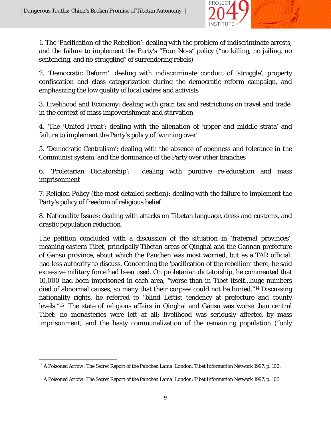

1. The 'Pacification of the Rebellion': dealing with the problem of indiscriminate arrests, and the failure to implement the Party's "Four No-s" policy ("no killing, no jailing, no sentencing, and no struggling" of surrendering rebels)

2. 'Democratic Reform': dealing with indiscriminate conduct of 'struggle', property confiscation and class categorization during the democratic reform campaign, and emphasizing the low quality of local cadres and activists

3. Livelihood and Economy: dealing with grain tax and restrictions on travel and trade, in the context of mass impoverishment and starvation

4. 'The 'United Front': dealing with the alienation of 'upper and middle strata' and failure to implement the Party's policy of 'winning over'

5. 'Democratic Centralism': dealing with the absence of openness and tolerance in the Communist system, and the dominance of the Party over other branches

6. 'Proletarian Dictatorship': dealing with punitive re-education and mass imprisonment

7. Religion Policy (the most detailed section): dealing with the failure to implement the Party's policy of freedom of religious belief

8. Nationality Issues: dealing with attacks on Tibetan language, dress and customs, and drastic population reduction

The petition concluded with a discussion of the situation in 'fraternal provinces', meaning eastern Tibet, principally Tibetan areas of Qinghai and the Gannan prefecture of Gansu province, about which the Panchen was most worried, but as a TAR official, had less authority to discuss. Concerning the 'pacification of the rebellion' there, he said excessive military force had been used. On proletarian dictatorship, he commented that 10,000 had been imprisoned in each area, "worse than in Tibet itself...huge numbers died of abnormal causes, so many that their corpses could not be buried."[14](#page-10-0) Discussing nationality rights, he referred to "blind Leftist tendency at prefecture and county levels."[15](#page-10-1) The state of religious affairs in Qinghai and Gansu was worse than central Tibet: no monasteries were left at all; livelihood was seriously affected by mass imprisonment; and the hasty communalization of the remaining population ("only

<span id="page-10-0"></span> <sup>14</sup> *A Poisoned Arrow: The Secret Report of the Panchen Lama*. London: Tibet Information Network 1997, p. 102.

<span id="page-10-1"></span><sup>15</sup> *A Poisoned Arrow: The Secret Report of the Panchen Lama*. London: Tibet Information Network 1997, p. 103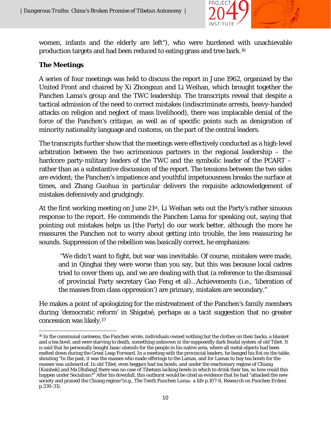

women, infants and the elderly are left"), who were burdened with unachievable production targets and had been reduced to eating grass and tree bark.[16](#page-11-0)

#### **The Meetings**

A series of four meetings was held to discuss the report in June 1962, organized by the United Front and chaired by Xi Zhongxun and Li Weihan, which brought together the Panchen Lama's group and the TWC leadership. The transcripts reveal that despite a tactical admission of the need to correct mistakes (indiscriminate arrests, heavy-handed attacks on religion and neglect of mass livelihood), there was implacable denial of the force of the Panchen's critique, as well as of specific points such as denigration of minority nationality language and customs, on the part of the central leaders.

The transcripts further show that the meetings were effectively conducted as a high-level arbitration between the two acrimonious partners in the regional leadership – the hardcore party-military leaders of the TWC and the symbolic leader of the PCART – rather than as a substantive discussion of the report. The tensions between the two sides are evident; the Panchen's impatience and youthful impetuousness breaks the surface at times, and Zhang Guohua in particular delivers the requisite acknowledgement of mistakes defensively and grudgingly.

At the first working meeting on June 21st, Li Weihan sets out the Party's rather sinuous response to the report. He commends the Panchen Lama for speaking out, saying that pointing out mistakes helps us [the Party] do our work better, although the more he reassures the Panchen not to worry about getting into trouble, the less reassuring he sounds. Suppression of the rebellion was basically correct, he emphasizes:

"We didn't want to fight, but war was inevitable. Of course, mistakes were made, and in Qinghai they were worse than you say, but this was because local cadres tried to cover them up, and we are dealing with that (a reference to the dismissal of provincial Party secretary Gao Feng et al)…Achievements (i.e., 'liberation of the masses from class oppression') are primary, mistakes are secondary."

He makes a point of apologizing for the mistreatment of the Panchen's family members during 'democratic reform' in Shigatsé, perhaps as a tacit suggestion that no greater concession was likely.[17](#page-11-1)

<span id="page-11-1"></span><span id="page-11-0"></span> $\overline{a}$ <sup>16</sup> In the communal canteens, the Panchen wrote, individuals owned nothing but the clothes on their backs, a blanket and a tea bowl, and were starving to death, something unknown in the supposedly dark feudal system of old Tibet. It is said that he personally bought basic utensils for the people in his native area, where all metal objects had been melted down during the Great Leap Forward. In a meeting with the provincial leaders, he banged his fist on the table, shouting "In the past, it was the masses who made offerings to the Lamas, and for Lamas to buy tea bowls for the masses was unheard of. In old Tibet, even beggars had tea bowls, and under the reactionary regime of Chiang [Kaishek] and Ma [Bufang] there was no case of Tibetans lacking bowls in which to drink their tea, so how could this happen under Socialism?" After his downfall, this outburst would be cited as evidence that he had "attacked the new society and praised the Chiang regime"(e.g., *The Tenth Panchen Lama: a life* p.107-8, *Research on Panchen Erdeni* p.330-31).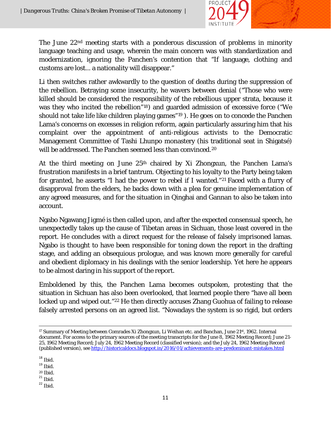

The June 22nd meeting starts with a ponderous discussion of problems in minority language teaching and usage, wherein the main concern was with standardization and modernization, ignoring the Panchen's contention that "If language, clothing and customs are lost... a nationality will disappear."

Li then switches rather awkwardly to the question of deaths during the suppression of the rebellion. Betraying some insecurity, he wavers between denial ("Those who were killed should be considered the responsibility of the rebellious upper strata, because it was they who incited the rebellion"[18\)](#page-12-0) and guarded admission of excessive force ("We should not take life like children playing games"[19](#page-12-1) ). He goes on to concede the Panchen Lama's concerns on excesses in religion reform, again particularly assuring him that his complaint over the appointment of anti-religious activists to the Democratic Management Committee of Tashi Lhunpo monastery (his traditional seat in Shigatsé) will be addressed. The Panchen seemed less than convinced.<sup>[20](#page-12-2)</sup>

At the third meeting on June 25th chaired by Xi Zhongxun, the Panchen Lama's frustration manifests in a brief tantrum. Objecting to his loyalty to the Party being taken for granted, he asserts "I had the power to rebel if I wanted."[21](#page-12-3) Faced with a flurry of disapproval from the elders, he backs down with a plea for genuine implementation of any agreed measures, and for the situation in Qinghai and Gannan to also be taken into account.

Ngabo Ngawang Jigmé is then called upon, and after the expected consensual speech, he unexpectedly takes up the cause of Tibetan areas in Sichuan, those least covered in the report. He concludes with a direct request for the release of falsely imprisoned lamas. Ngabo is thought to have been responsible for toning down the report in the drafting stage, and adding an obsequious prologue, and was known more generally for careful and obedient diplomacy in his dealings with the senior leadership. Yet here he appears to be almost daring in his support of the report.

Emboldened by this, the Panchen Lama becomes outspoken, protesting that the situation in Sichuan has also been overlooked, that learned people there "have all been locked up and wiped out."<sup>[22](#page-12-4)</sup> He then directly accuses Zhang Guohua of failing to release falsely arrested persons on an agreed list. "Nowadays the system is so rigid, but orders

 $\overline{\phantom{a}}$ <sup>17</sup> Summary of Meeting between Comrades Xi Zhongxun, Li Weihan etc. and Banchan, June 21st, 1962. Internal document. For access to the primary sources of the meeting transcripts for the June 8, 1962 Meeting Record; June 21- 25, 1962 Meeting Record; July 24, 1962 Meeting Record (classified version); and the July 24, 1962 Meeting Record (published version), see <http://historicaldocs.blogspot.in/2016/01/achievements-are-predominant-mistakes.html>

<span id="page-12-1"></span><span id="page-12-0"></span> $^{18}$  Ibid.<br> 19 Ibid.

<span id="page-12-3"></span><span id="page-12-2"></span> $^{20}$  Ibid.<br> $^{21}$  Ibid.<br> $^{22}$  Ibid.

<span id="page-12-4"></span>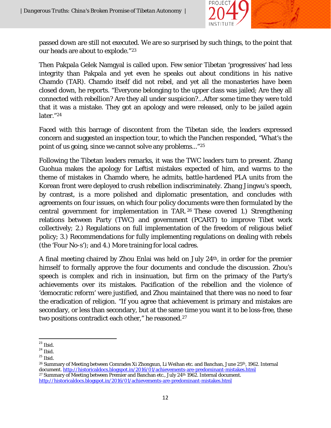

passed down are still not executed. We are so surprised by such things, to the point that our heads are about to explode."[23](#page-13-0)

Then Pakpala Gelek Namgyal is called upon. Few senior Tibetan 'progressives' had less integrity than Pakpala and yet even he speaks out about conditions in his native Chamdo (TAR). Chamdo itself did not rebel, and yet all the monasteries have been closed down, he reports. "Everyone belonging to the upper class was jailed; Are they all connected with rebellion? Are they all under suspicion?...After some time they were told that it was a mistake. They got an apology and were released, only to be jailed again later."[24](#page-13-1)

Faced with this barrage of discontent from the Tibetan side, the leaders expressed concern and suggested an inspection tour, to which the Panchen responded, "What's the point of us going, since we cannot solve any problems..."[25](#page-13-2)

Following the Tibetan leaders remarks, it was the TWC leaders turn to present. Zhang Guohua makes the apology for Leftist mistakes expected of him, and warms to the theme of mistakes in Chamdo where, he admits, battle-hardened PLA units from the Korean front were deployed to crush rebellion indiscriminately. Zhang Jingwu's speech, by contrast, is a more polished and diplomatic presentation, and concludes with agreements on four issues, on which four policy documents were then formulated by the central government for implementation in TAR. [26](#page-13-3) These covered 1.) Strengthening relations between Party (TWC) and government (PCART) to improve Tibet work collectively; 2.) Regulations on full implementation of the freedom of religious belief policy; 3.) Recommendations for fully implementing regulations on dealing with rebels (the 'Four No-s'); and 4.) More training for local cadres.

A final meeting chaired by Zhou Enlai was held on July 24th, in order for the premier himself to formally approve the four documents and conclude the discussion. Zhou's speech is complex and rich in insinuation, but firm on the primacy of the Party's achievements over its mistakes. Pacification of the rebellion and the violence of 'democratic reform' were justified, and Zhou maintained that there was no need to fear the eradication of religion. "If you agree that achievement is primary and mistakes are secondary, or less than secondary, but at the same time you want it to be loss-free, these two positions contradict each other," he reasoned.<sup>[27](#page-13-4)</sup>

<span id="page-13-1"></span><span id="page-13-0"></span> $^{23}$  Ibid.<br> $^{24}$  Ibid.<br> $^{25}$  Ibid.

<span id="page-13-4"></span><span id="page-13-3"></span><span id="page-13-2"></span><sup>&</sup>lt;sup>26</sup> Summary of Meeting between Comrades Xi Zhongxun, Li Weihan etc. and Banchan, June 25<sup>th</sup>, 1962. Internal document. <http://historicaldocs.blogspot.in/2016/01/achievements-are-predominant-mistakes.html> <sup>27</sup> Summary of Meeting between Premier and Banchan etc., July  $24<sup>th</sup> 1962$ . Internal document. <http://historicaldocs.blogspot.in/2016/01/achievements-are-predominant-mistakes.html>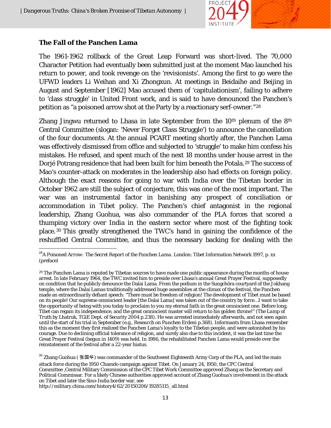

#### **The Fall of the Panchen Lama**

The 1961-1962 rollback of the Great Leap Forward was short-lived. The 70,000 Character Petition had eventually been submitted just at the moment Mao launched his return to power, and took revenge on the 'revisionists'. Among the first to go were the UFWD leaders Li Weihan and Xi Zhongxun. At meetings in Beidaihe and Beijing in August and September [1962] Mao accused them of 'capitulationism', failing to adhere to 'class struggle' in United Front work, and is said to have denounced the Panchen's petition as "a poisoned arrow shot at the Party by a reactionary serf-owner."[28](#page-14-0)

Zhang Jingwu returned to Lhasa in late September from the  $10<sup>th</sup>$  plenum of the  $8<sup>th</sup>$ Central Committee (slogan: 'Never Forget Class Struggle') to announce the cancellation of the four documents. At the annual PCART meeting shortly after, the Panchen Lama was effectively dismissed from office and subjected to 'struggle' to make him confess his mistakes. He refused, and spent much of the next 18 months under house arrest in the Dorjé Potrang residence that had been built for him beneath the Potala.<sup>[29](#page-14-1)</sup> The success of Mao's counter-attack on moderates in the leadership also had effects on foreign policy. Although the exact reasons for going to war with India over the Tibetan border in October 1962 are still the subject of conjecture, this was one of the most important. The war was an instrumental factor in banishing any prospect of conciliation or accommodation in Tibet policy. The Panchen's chief antagonist in the regional leadership, Zhang Guohua, was also commander of the PLA forces that scored a thumping victory over India in the eastern sector where most of the fighting took place.[30](#page-14-2) This greatly strengthened the TWC's hand in gaining the confidence of the reshuffled Central Committee, and thus the necessary backing for dealing with the

attack force during the 1950 Chamdo campaign against Tibet. On January 24, 1950, the CPC Central Committee ,Central Military Commission of the CPC Tibet Work Committee approved Zhang as the Secretary and Political Commissar. For a likely Chinese authorities approved account of Zhang Guohua's involvement in the attack on Tibet and later the Sino-India border war, see

http://military.china.com/history4/62/20150206/19285115\_all.html

<span id="page-14-0"></span> <sup>28</sup>*A Poisoned Arrow: The Secret Report of the Panchen Lama*. London: Tibet Information Network 1997, p. xx (preface)

<span id="page-14-1"></span><sup>&</sup>lt;sup>29</sup> The Panchen Lama is reputed by Tibetan sources to have made one public appearance during the months of house arrest. In late February 1964, the TWC invited him to preside over Lhasa's annual Great Prayer Festival, supposedly on condition that he publicly denounce the Dalai Lama. From the podium in the Sungchöra courtyard of the Jokhang temple, where the Dalai Lamas traditionally addressed huge assemblies at the climax of the festival, the Panchen made an extraordinarily defiant speech: "There must be freedom of religion! The development of Tibet must be based on its people! Our supreme omniscient leader [the Dalai Lama] was taken out of the country by force…I want to take the opportunity of being with you today to proclaim to you my eternal faith in the great omniscient one. Before long, Tibet can regain its independence, and the great omniscient master will return to his golden throne!" (*The Lamp of Truth* by Lhatruk, TGiE Dept. of Security 2004 p.238). He was arrested immediately afterwards, and not seen again until the start of his trial in September (e.g., *Research on Panchen Erdeni* p.368). Informants from Lhasa remember this as the moment they first realized the Panchen Lama's loyalty to the Tibetan people, and were astonished by his courage. Due to declining official tolerance of religion, and surely also due to this incident, it was the last time the Great Prayer Festival (begun in 1409) was held. In 1986, the rehabilitated Panchen Lama would preside over the reinstatement of the festival after a 22-year hiatus.

<span id="page-14-2"></span><sup>&</sup>lt;sup>30</sup> Zhang Guohua ( 张国华) was commander of the Southwest Eighteenth Army Corp of the PLA, and led the main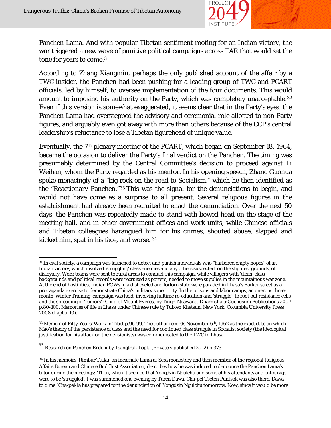

Panchen Lama. And with popular Tibetan sentiment rooting for an Indian victory, the war triggered a new wave of punitive political campaigns across TAR that would set the tone for years to come.<sup>[31](#page-15-0)</sup>

According to Zhang Xiangmin, perhaps the only published account of the affair by a TWC insider, the Panchen had been pushing for a leading group of TWC and PCART officials, led by himself, to oversee implementation of the four documents. This would amount to imposing his authority on the Party, which was completely unacceptable.<sup>[32](#page-15-1)</sup> Even if this version is somewhat exaggerated, it seems clear that in the Party's eyes, the Panchen Lama had overstepped the advisory and ceremonial role allotted to non-Party figures, and arguably even got away with more than others because of the CCP's central leadership's reluctance to lose a Tibetan figurehead of unique value.

Eventually, the 7<sup>th</sup> plenary meeting of the PCART, which began on September 18, 1964, became the occasion to deliver the Party's final verdict on the Panchen. The timing was presumably determined by the Central Committee's decision to proceed against Li Weihan, whom the Party regarded as his mentor. In his opening speech, Zhang Guohua spoke menacingly of a "big rock on the road to Socialism," which he then identified as the "Reactionary Panchen."[33](#page-15-2) This was the signal for the denunciations to begin, and would not have come as a surprise to all present. Several religious figures in the establishment had already been recruited to enact the denunciation. Over the next 50 days, the Panchen was repeatedly made to stand with bowed head on the stage of the meeting hall, and in other government offices and work units, while Chinese officials and Tibetan colleagues harangued him for his crimes, shouted abuse, slapped and kicked him, spat in his face, and worse. [34](#page-15-3) 

<span id="page-15-2"></span><sup>33</sup> *Research on Panchen Erdeni* by Tsangtruk Topla (Privately published 2012) p.373

<span id="page-15-0"></span>l  $^{\rm 31}$  In civil society, a campaign was launched to detect and punish individuals who "harbored empty hopes" of an Indian victory, which involved 'struggling' class enemies and any others suspected, on the slightest grounds, of disloyalty. Work teams were sent to rural areas to conduct this campaign, while villagers with 'clean' class backgrounds and political records were recruited as porters, needed to move supplies in the mountainous war zone. At the end of hostilities, Indian POWs in a disheveled and forlorn state were paraded in Lhasa's Barkor street as a propaganda exercise to demonstrate China's military superiority. In the prisons and labor camps, an onerous threemonth 'Winter Training' campaign was held, involving fulltime re-education and 'struggle', to root out resistance cells and the spreading of 'rumors' (*Child of Mount Everest* by Tingri Ngawang. Dharmshala:Guchusum Publications 2007 p.80-100, *Memories of life in Lhasa under Chinese rule* by Tubten Khetsun. New York: Columbia University Press 2008 chapter 10).

<span id="page-15-1"></span><sup>32</sup> *Memoir of Fifty Years' Work in Tibet* p.96-99. The author records November 6th, 1962 as the exact date on which Mao's theory of the persistence of class and the need for continued class struggle in Socialist society (the ideological justification for his attack on the revisionists) was communicated to the TWC in Lhasa.

<span id="page-15-3"></span><sup>34</sup> In his memoirs, Rimbur Tulku, an incarnate Lama at Sera monastery and then member of the regional Religious Affairs Bureau and Chinese Buddhist Association, describes how he was induced to denounce the Panchen Lama's tutor during the meetings: 'Then, when it seemed that Yongdzin Ngulchu and some of his attendants and entourage were to be 'struggled', I was summoned one evening by Turen Dawa. Cha-pel Tseten Puntsok was also there. Dawa told me "Cha-pel-la has prepared for the denunciation of Yongdzin Ngulchu tomorrow. Now, since it would be more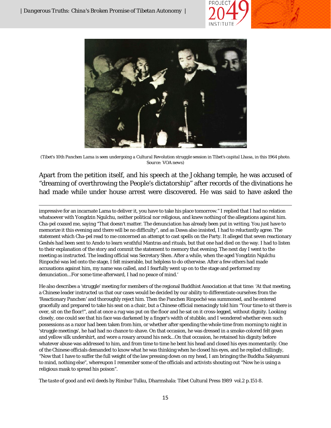



*(Tibet's 10th Panchen Lama is seen undergoing a Cultural Revolution struggle session in Tibet's capital Lhasa, in this 1964 photo. Source: VOA news)*

Apart from the petition itself, and his speech at the Jokhang temple, he was accused of "dreaming of overthrowing the People's dictatorship" after records of the divinations he had made while under house arrest were discovered. He was said to have asked the

 $\overline{\phantom{a}}$ impressive for an incarnate Lama to deliver it, you have to take his place tomorrow." I replied that I had no relation whatsoever with Yongdzin Ngulchu, neither political nor religious, and knew nothing of the allegations against him. Cha-pel coaxed me, saying "That doesn't matter. The denunciation has already been put in writing. You just have to memorize it this evening and there will be no difficulty", and as Dawa also insisted, I had to reluctantly agree. The statement which Cha-pel read to me concerned an attempt to cast spells on the Party. It alleged that seven reactionary Geshés had been sent to Amdo to learn wrathful Mantras and rituals, but that one had died on the way. I had to listen to their explanation of the story and commit the statement to memory that evening. The next day I went to the meeting as instructed. The leading official was Secretary Shen. After a while, when the aged Yongdzin Ngulchu Rinpoché was led onto the stage, I felt miserable, but helpless to do otherwise. After a few others had made accusations against him, my name was called, and I fearfully went up on to the stage and performed my denunciation...For some time afterward, I had no peace of mind.'

He also describes a 'struggle' meeting for members of the regional Buddhist Association at that time: 'At that meeting, a Chinese leader instructed us that our cases would be decided by our ability to differentiate ourselves from the 'Reactionary Panchen' and thoroughly reject him. Then the Panchen Rinpoché was summoned, and he entered gracefully and prepared to take his seat on a chair, but a Chinese official menacingly told him "Your time to sit there is over, sit on the floor!", and at once a rug was put on the floor and he sat on it cross-legged, without dignity. Looking closely, one could see that his face was darkened by a finger's width of stubble, and I wondered whether even such possessions as a razor had been taken from him, or whether after spending the whole time from morning to night in 'struggle meetings', he had had no chance to shave. On that occasion, he was dressed in a smoke-colored felt gown and yellow silk undershirt, and wore a rosary around his neck...On that occasion, he retained his dignity before whatever abuse was addressed to him, and from time to time he bent his head and closed his eyes momentarily. One of the Chinese officials demanded to know what he was thinking when he closed his eyes, and he replied chillingly, "Now that I have to suffer the full weight of the law pressing down on my head, I am bringing the Buddha Sakyamuni to mind, nothing else", whereupon I remember some of the officials and activists shouting out "Now he is using a religious mask to spread his poison".

*The taste of good and evil deeds* by Rimbur Tulku, Dharmshala: Tibet Cultural Press 1989 vol.2 p.151-8.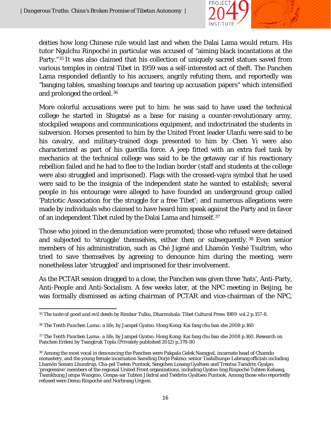

deities how long Chinese rule would last and when the Dalai Lama would return. His tutor Ngulchu Rinpoché in particular was accused of "aiming black incantations at the Party."[35](#page-17-0) It was also claimed that his collection of uniquely sacred statues saved from various temples in central Tibet in 1959 was a self-interested act of theft. The Panchen Lama responded defiantly to his accusers, angrily refuting them, and reportedly was "banging tables, smashing teacups and tearing up accusation papers" which intensified and prolonged the ordeal.[36](#page-17-1)

More colorful accusations were put to him: he was said to have used the technical college he started in Shigatsé as a base for raising a counter-revolutionary army, stockpiled weapons and communications equipment, and indoctrinated the students in subversion. Horses presented to him by the United Front leader Ulanfu were said to be his cavalry, and military-trained dogs presented to him by Chen Yi were also characterized as part of his guerilla force. A jeep fitted with an extra fuel tank by mechanics at the technical college was said to be the getaway car if his reactionary rebellion failed and he had to flee to the Indian border (staff and students at the college were also struggled and imprisoned). Flags with the crossed-vajra symbol that he used were said to be the insignia of the independent state he wanted to establish; several people in his entourage were alleged to have founded an underground group called 'Patriotic Association for the struggle for a free Tibet'; and numerous allegations were made by individuals who claimed to have heard him speak against the Party and in favor of an independent Tibet ruled by the Dalai Lama and himself.[37](#page-17-2)

Those who joined in the denunciation were promoted; those who refused were detained and subjected to 'struggle' themselves, either then or subsequently. [38](#page-17-3) Even senior members of his administration, such as Ché Jigmé and Lhamön Yeshé Tsultrim, who tried to save themselves by agreeing to denounce him during the meeting, were nonetheless later 'struggled' and imprisoned for their involvement.

As the PCTAR session dragged to a close, the Panchen was given three 'hats', Anti-Party, Anti-People and Anti-Socialism. A few weeks later, at the NPC meeting in Beijing, he was formally dismissed as acting chairman of PCTAR and vice-chairman of the NPC,

<span id="page-17-0"></span> $\overline{a}$ <sup>35</sup> *The taste of good and evil deeds* by Rimbur Tulku, Dharmshala: Tibet Cultural Press 1989 vol.2 p.157-8.

<span id="page-17-1"></span><sup>36</sup> *The Tenth Panchen Lama: a life*, by Jampel Gyatso. Hong Kong: Kai fang chu ban she 2008 p.160

<span id="page-17-2"></span><sup>37</sup> *The Tenth Panchen Lama: a life*, by Jampel Gyatso. Hong Kong: Kai fang chu ban she 2008 p.160, Research on Panchen Erdeni by Tsangtruk Topla (Privately published 2012) p.378-80

<span id="page-17-3"></span><sup>38</sup> Among the most vocal in denouncing the Panchen were Pakpala Gelek Namgyal, incarnate head of Chamdo monastery, and the young female incarnation Samding Dorjé Pakmo; senior Tashilhunpo Labrang officials including Lhamön Sonam Lhundrup, Cha-pel Tseten Puntsok, Sengchen Losang Gyaltsen and Trentsa Tamdrin Gyalpo; 'progressive' members of the regional United Front organizations, including Gyatso-ling Rinpoché Tubten Kelsang, Tsamkhung Jampa Wangmo, Gonpa-sar Tubten Jikdral and Tsédrön Gyaltsen Puntsok. Among those who reportedly refused were Demo Rinpoché and Norbrang Urgyen.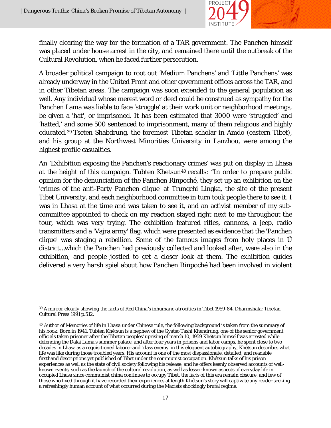

finally clearing the way for the formation of a TAR government. The Panchen himself was placed under house arrest in the city, and remained there until the outbreak of the Cultural Revolution, when he faced further persecution.

A broader political campaign to root out 'Medium Panchens' and 'Little Panchens' was already underway in the United Front and other government offices across the TAR, and in other Tibetan areas. The campaign was soon extended to the general population as well. Any individual whose merest word or deed could be construed as sympathy for the Panchen Lama was liable to face 'struggle' at their work unit or neighborhood meetings, be given a 'hat', or imprisoned. It has been estimated that 3000 were 'struggled' and 'hatted,' and some 500 sentenced to imprisonment, many of them religious and highly educated.[39](#page-18-0) Tseten Shabdrung, the foremost Tibetan scholar in Amdo (eastern Tibet), and his group at the Northwest Minorities University in Lanzhou, were among the highest profile casualties.

An 'Exhibition exposing the Panchen's reactionary crimes' was put on display in Lhasa at the height of this campaign. Tubten Khetsun<sup>[40](#page-18-1)</sup> recalls: "In order to prepare public opinion for the denunciation of the Panchen Rinpoché, they set up an exhibition on the 'crimes of the anti-Party Panchen clique' at Trungchi Lingka, the site of the present Tibet University, and each neighborhood committee in turn took people there to see it. I was in Lhasa at the time and was taken to see it, and an activist member of my subcommittee appointed to check on my reaction stayed right next to me throughout the tour, which was very trying. The exhibition featured rifles, cannons, a jeep, radio transmitters and a 'Vajra army' flag, which were presented as evidence that the 'Panchen clique' was staging a rebellion. Some of the famous images from holy places in Ü district…which the Panchen had previously collected and looked after, were also in the exhibition, and people jostled to get a closer look at them. The exhibition guides delivered a very harsh spiel about how Panchen Rinpoché had been involved in violent

<span id="page-18-0"></span> $\overline{\phantom{a}}$ <sup>39</sup> *A mirror clearly showing the facts of Red China's inhumane atrocities in Tibet 1959-84*. Dharmshala: Tibetan Cultural Press 1991 p.512.

<span id="page-18-1"></span><sup>40</sup> Author of *Memories of life in Lhasa under Chinese rule*, the following background is taken from the summary of his book: Born in 1941, Tubten Khétsun is a nephew of the Gyatso Tashi Khendrung, one of the senior government officials taken prisoner after the Tibetan peoples' uprising of march 10, 1959 Khétsun himself was arrested while defending the Dalai Lama's summer palace, and after four years in prisons and labor camps, he spent close to two decades in Lhasa as a requisitioned laborer and 'class enemy' in this eloquent autobiography, Khétsun describes what life was like during those troubled years. His account is one of the most dispassionate, detailed, and readable firsthand descriptions yet published of Tibet under the communist occupation. Khétsun talks of his prison experiences as well as the state of civil society following his release, and he offers keenly observed accounts of wellknown events, such as the launch of the cultural revolution, as well as lesser-known aspects of everyday life in occupied Lhasa since communist china continues to occupy Tibet, the facts of this era remain obscure, and few of those who lived through it have recorded their experiences at length Khétsun's story will captivate any reader seeking a refreshingly human account of what occurred during the Maoists shockingly brutal regime.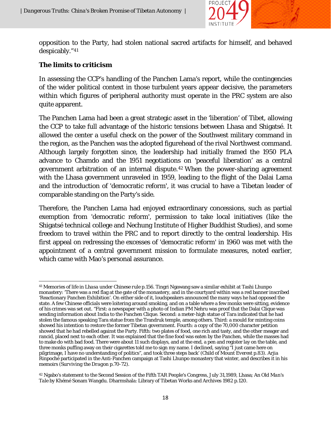

opposition to the Party, had stolen national sacred artifacts for himself, and behaved despicably."[41](#page-19-0)

### **The limits to criticism**

In assessing the CCP's handling of the Panchen Lama's report, while the contingencies of the wider political context in those turbulent years appear decisive, the parameters within which figures of peripheral authority must operate in the PRC system are also quite apparent.

The Panchen Lama had been a great strategic asset in the 'liberation' of Tibet, allowing the CCP to take full advantage of the historic tensions between Lhasa and Shigatsé. It allowed the center a useful check on the power of the Southwest military command in the region, as the Panchen was the adopted figurehead of the rival Northwest command. Although largely forgotten since, the leadership had initially framed the 1950 PLA advance to Chamdo and the 1951 negotiations on 'peaceful liberation' as a central government arbitration of an internal dispute.[42](#page-19-1) When the power-sharing agreement with the Lhasa government unraveled in 1959, leading to the flight of the Dalai Lama and the introduction of 'democratic reform', it was crucial to have a Tibetan leader of comparable standing on the Party's side.

Therefore, the Panchen Lama had enjoyed extraordinary concessions, such as partial exemption from 'democratic reform', permission to take local initiatives (like the Shigatsé technical college and Nechung Institute of Higher Buddhist Studies), and some freedom to travel within the PRC and to report directly to the central leadership. His first appeal on redressing the excesses of 'democratic reform' in 1960 was met with the appointment of a central government mission to formulate measures, noted earlier, which came with Mao's personal assurance.

<span id="page-19-0"></span> $\overline{\phantom{a}}$ <sup>41</sup> *Memories of life in Lhasa under Chinese rule* p.156. Tingri Ngawang saw a similar exhibit at Tashi Lhunpo monastery: 'There was a red flag at the gate of the monastery, and in the courtyard within was a red banner inscribed 'Reactionary Panchen Exhibition'. On either side of it, loudspeakers announced the many ways he had opposed the state. A few Chinese officials were loitering around smoking, and on a table where a few monks were sitting, evidence of his crimes was set out. "First: a newspaper with a photo of Indian PM Nehru was proof that the Dalai Clique was sending information about India to the Panchen Clique. Second: a meter-high statue of Tara indicated that he had stolen the famous speaking Tara statue from the Trandruk temple, among others. Third: a mould for minting coins showed his intention to restore the former Tibetan government. Fourth: a copy of the 70,000 character petition showed that he had rebelled against the Party. Fifth: two plates of food, one rich and tasty, and the other meager and rancid, placed next to each other. It was explained that the fine food was eaten by the Panchen, while the masses had to make do with bad food. There were about 11 such displays, and at the end, a pen and register lay on the table, and three monks puffing away on their cigarettes told me to sign my name. I declined, saying "I just came here on pilgrimage, I have no understanding of politics", and took three steps back' (*Child of Mount Everest* p.83). Arjia Rinpoché participated in the Anti-Panchen campaign at Tashi Lhunpo monastery that winter, and describes it in his memoirs (*Surviving the Dragon* p.70-72).

<span id="page-19-1"></span><sup>42</sup> Ngabo's statement to the Second Session of the Fifth TAR People's Congress, July 31,1989, Lhasa; *An Old Man's Tale* by Khémé Sonam Wangdu. Dharmshala: Library of Tibetan Works and Archives 1982 p.120.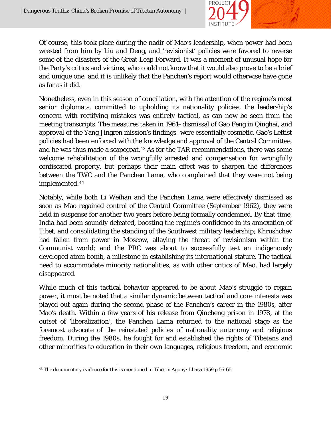

Of course, this took place during the nadir of Mao's leadership, when power had been wrested from him by Liu and Deng, and 'revisionist' policies were favored to reverse some of the disasters of the Great Leap Forward. It was a moment of unusual hope for the Party's critics and victims, who could not know that it would also prove to be a brief and unique one, and it is unlikely that the Panchen's report would otherwise have gone as far as it did.

Nonetheless, even in this season of conciliation, with the attention of the regime's most senior diplomats, committed to upholding its nationality policies, the leadership's concern with rectifying mistakes was entirely tactical, as can now be seen from the meeting transcripts. The measures taken in 1961–dismissal of Gao Feng in Qinghai, and approval of the Yang Jingren mission's findings–were essentially cosmetic. Gao's Leftist policies had been enforced with the knowledge and approval of the Central Committee, and he was thus made a scapegoat.<sup>[43](#page-20-0)</sup> As for the TAR recommendations, there was some welcome rehabilitation of the wrongfully arrested and compensation for wrongfully confiscated property, but perhaps their main effect was to sharpen the differences between the TWC and the Panchen Lama, who complained that they were not being implemented.[44](#page-20-1)

Notably, while both Li Weihan and the Panchen Lama were effectively dismissed as soon as Mao regained control of the Central Committee (September 1962), they were held in suspense for another two years before being formally condemned. By that time, India had been soundly defeated, boosting the regime's confidence in its annexation of Tibet, and consolidating the standing of the Southwest military leadership; Khrushchev had fallen from power in Moscow, allaying the threat of revisionism within the Communist world; and the PRC was about to successfully test an indigenously developed atom bomb, a milestone in establishing its international stature. The tactical need to accommodate minority nationalities, as with other critics of Mao, had largely disappeared.

While much of this tactical behavior appeared to be about Mao's struggle to regain power, it must be noted that a similar dynamic between tactical and core interests was played out again during the second phase of the Panchen's career in the 1980s, after Mao's death. Within a few years of his release from Qincheng prison in 1978, at the outset of 'liberalization', the Panchen Lama returned to the national stage as the foremost advocate of the reinstated policies of nationality autonomy and religious freedom. During the 1980s, he fought for and established the rights of Tibetans and other minorities to education in their own languages, religious freedom, and economic

<span id="page-20-1"></span><span id="page-20-0"></span>l <sup>43</sup> The documentary evidence for this is mentioned in *Tibet in Agony: Lhasa 1959* p.56-65.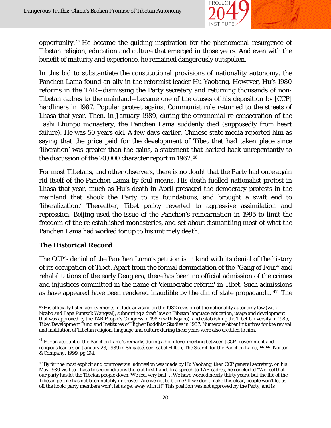

opportunity.[45](#page-21-0) He became the guiding inspiration for the phenomenal resurgence of Tibetan religion, education and culture that emerged in those years. And even with the benefit of maturity and experience, he remained dangerously outspoken.

In this bid to substantiate the constitutional provisions of nationality autonomy, the Panchen Lama found an ally in the reformist leader Hu Yaobang. However, Hu's 1980 reforms in the TAR―dismissing the Party secretary and returning thousands of non-Tibetan cadres to the mainland―became one of the causes of his deposition by [CCP] hardliners in 1987. Popular protest against Communist rule returned to the streets of Lhasa that year. Then, in January 1989, during the ceremonial re-consecration of the Tashi Lhunpo monastery, the Panchen Lama suddenly died (supposedly from heart failure). He was 50 years old. A few days earlier, Chinese state media reported him as saying that the price paid for the development of Tibet that had taken place since 'liberation' was greater than the gains, a statement that harked back unrepentantly to the discussion of the 70,000 character report in 1962.[46](#page-21-1)

For most Tibetans, and other observers, there is no doubt that the Party had once again rid itself of the Panchen Lama by foul means. His death fuelled nationalist protest in Lhasa that year, much as Hu's death in April presaged the democracy protests in the mainland that shook the Party to its foundations, and brought a swift end to 'liberalization.' Thereafter, Tibet policy reverted to aggressive assimilation and repression. Beijing used the issue of the Panchen's reincarnation in 1995 to limit the freedom of the re-established monasteries, and set about dismantling most of what the Panchen Lama had worked for up to his untimely death.

#### **The Historical Record**

The CCP's denial of the Panchen Lama's petition is in kind with its denial of the history of its occupation of Tibet. Apart from the formal denunciation of the "Gang of Four" and rehabilitations of the early Deng era, there has been no official admission of the crimes and injustices committed in the name of 'democratic reform' in Tibet. Such admissions as have appeared have been rendered inaudible by the din of state propaganda. [47](#page-21-2) The

<span id="page-21-0"></span>l <sup>45</sup> His officially listed achievements include advising on the 1982 revision of the nationality autonomy law (with Ngabo and Bapa Puntsok Wangyal), submitting a draft law on Tibetan language education, usage and development that was approved by the TAR People's Congress in 1987 (with Ngabo), and establishing the Tibet University in 1985, Tibet Development Fund and Institutes of Higher Buddhist Studies in 1987. Numerous other initiatives for the revival and institution of Tibetan religion, language and culture during these years were also credited to him.

<span id="page-21-1"></span><sup>&</sup>lt;sup>46</sup> For an account of the Panchen Lama's remarks during a high-level meeting between [CCP] government and religious leaders on January 23, 1989 in Shigatsé, see Isabel Hilton, The Search for the Panchen Lama, *W.W. Norton & Company,* 1999, pg 194.

<span id="page-21-2"></span><sup>&</sup>lt;sup>47</sup> By far the most explicit and controversial admission was made by Hu Yaobang, then CCP general secretary, on his May 1980 visit to Lhasa to see conditions there at first hand. In a speech to TAR cadres, he concluded "We feel that our party has let the Tibetan people down. We feel very bad! …We have worked nearly thirty years, but the life of the Tibetan people has not been notably improved. Are we not to blame? If we don't make this clear, people won't let us off the hook; party members won't let us get away with it!" This position was not approved by the Party, and is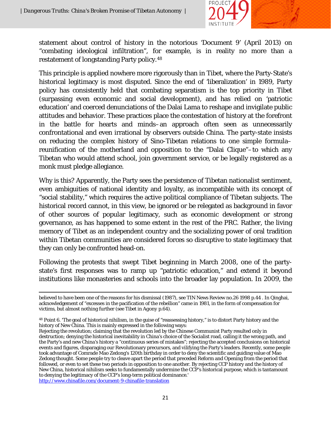$\overline{a}$ 



statement about control of history in the notorious 'Document 9' (April 2013) on "combating ideological infiltration", for example, is in reality no more than a restatement of longstanding Party policy.[48](#page-22-0)

This principle is applied nowhere more rigorously than in Tibet, where the Party-State's historical legitimacy is most disputed. Since the end of 'liberalization' in 1989, Party policy has consistently held that combating separatism is the top priority in Tibet (surpassing even economic and social development), and has relied on 'patriotic education' and coerced denunciations of the Dalai Lama to reshape and invigilate public attitudes and behavior. These practices place the contestation of history at the forefront in the battle for hearts and minds–an approach often seen as unnecessarily confrontational and even irrational by observers outside China. The party-state insists on reducing the complex history of Sino-Tibetan relations to one simple formula– reunification of the motherland and opposition to the "Dalai Clique"–to which any Tibetan who would attend school, join government service, or be legally registered as a monk must pledge allegiance.

Why is this? Apparently, the Party sees the persistence of Tibetan nationalist sentiment, even ambiguities of national identity and loyalty, as incompatible with its concept of "social stability," which requires the active political compliance of Tibetan subjects. The historical record cannot, in this view, be ignored or be relegated as background in favor of other sources of popular legitimacy, such as economic development or strong governance, as has happened to some extent in the rest of the PRC. Rather, the living memory of Tibet as an independent country and the socializing power of oral tradition within Tibetan communities are considered forces so disruptive to state legitimacy that they can only be confronted head-on.

Following the protests that swept Tibet beginning in March 2008, one of the partystate's first responses was to ramp up "patriotic education," and extend it beyond institutions like monasteries and schools into the broader lay population. In 2009, the

believed to have been one of the reasons for his dismissal (1987), see TIN News Review no.26 1998 p.44 . In Qinghai, acknowledgement of "excesses in the pacification of the rebellion" came in 1981, in the form of compensation for victims, but almost nothing further (see *Tibet in Agony* p.64).

<span id="page-22-0"></span><sup>48</sup> Point 6. 'The goal of historical nihilism, in the guise of "reassessing history," is to distort Party history and the history of New China. This is mainly expressed in the following ways:

Rejecting the revolution; claiming that the revolution led by the Chinese Communist Party resulted only in destruction; denying the historical inevitability in China's choice of the Socialist road, calling it the wrong path, and the Party's and new China's history a "continuous series of mistakes"; rejecting the accepted conclusions on historical events and figures, disparaging our Revolutionary precursors, and vilifying the Party's leaders. Recently, some people took advantage of Comrade Mao Zedong's 120th birthday in order to deny the scientific and guiding value of Mao Zedong thought. Some people try to cleave apart the period that preceded Reform and Opening from the period that followed, or even to set these two periods in opposition to one another. By rejecting CCP history and the history of New China, historical nihilism seeks to fundamentally undermine the CCP's historical purpose, which is tantamount to denying the legitimacy of the CCP's long-term political dominance.' <http://www.chinafile.com/document-9-chinafile-translation>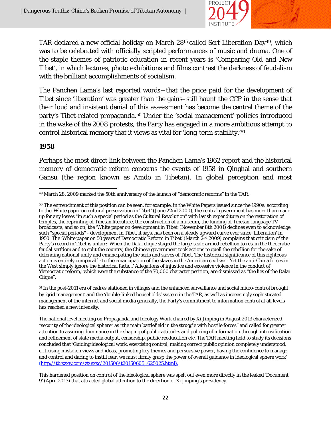

TAR declared a new official holiday on March 28th called Serf Liberation Day[49](#page-23-0), which was to be celebrated with officially scripted performances of music and drama. One of the staple themes of patriotic education in recent years is 'Comparing Old and New Tibet', in which lectures, photo exhibitions and films contrast the darkness of feudalism with the brilliant accomplishments of socialism.

The Panchen Lama's last reported words―that the price paid for the development of Tibet since 'liberation' was greater than the gains–still haunt the CCP in the sense that their loud and insistent denial of this assessment has become the central theme of the party's Tibet-related propaganda.[50](#page-23-1) Under the 'social management' policies introduced in the wake of the 2008 protests, the Party has engaged in a more ambitious attempt to control historical memory that it views as vital for 'long-term stability.'[51](#page-23-2)

#### **1958**

Perhaps the most direct link between the Panchen Lama's 1962 report and the historical memory of democratic reform concerns the events of 1958 in Qinghai and southern Gansu (the region known as Amdo in Tibetan). In global perception and most

<span id="page-23-0"></span> $\overline{\phantom{a}}$ <sup>49</sup> March 28, 2009 marked the 50th anniversary of the launch of "democratic reforms" in the TAR.

<span id="page-23-1"></span><sup>&</sup>lt;sup>50</sup> The entrenchment of this position can be seen, for example, in the White Papers issued since the 1990s: according to the 'White paper on cultural preservation in Tibet' (June 22nd 2000), the central government has *more* than made up for any losses "in such a special period as the Cultural Revolution" with lavish expenditure on the restoration of temples, the reprinting of Tibetan literature, the construction of a museum, the funding of Tibetan-language TV broadcasts, and so on; the 'White paper on development in Tibet' (November 8th 2001) declines even to acknowledge such "special periods" - development in Tibet, it says, has been on a steady upward curve ever since 'Liberation' in 1950. The 'White paper on 50 years of Democratic Reform in Tibet' (March  $2^{nd}$  2009) complains that criticism of the Party's record in Tibet is unfair: 'When the Dalai clique staged the large-scale armed rebellion to retain the theocratic feudal serfdom and to split the country, the Chinese government took actions to quell the rebellion for the sake of defending national unity and emancipating the serfs and slaves of Tibet. The historical significance of this righteous action is entirely comparable to the emancipation of the slaves in the American civil war. Yet the anti-China forces in the West simply ignore the historical facts…' Allegations of injustice and excessive violence in the conduct of 'democratic reform,' which were the substance of the 70,000 character petition, are dismissed as "the lies of the Dalai Clique".

<span id="page-23-2"></span><sup>51</sup> In the post-2011 era of cadres stationed in villages and the enhanced surveillance and social micro-control brought by 'grid management' and the 'double-linked households' system in the TAR, as well as increasingly sophisticated management of the internet and social media generally, the Party's commitment to information control at all levels has reached a new intensity.

The national level meeting on Propaganda and Ideology Work chaired by Xi Jinping in August 2013 characterized "security of the ideological sphere" as "the main battlefield in the struggle with hostile forces" and called for greater attention to assuring dominance in the shaping of public attitudes and policing of information through intensification and refinement of state media output, censorship, public reeducation etc. The TAR meeting held to study its decisions concluded that 'Guiding ideological work, exercising control, making correct public opinion completely understood, criticising mistaken views and ideas, promoting key themes and persuasive power, having the confidence to manage and control and daring to instill fear, we must firmly grasp the power of overall guidance in ideological sphere work' [\(http://tb.xzxw.com/zt/sxxc/201506/t20150605\\_625025.html\)](http://tb.xzxw.com/zt/sxxc/201506/t20150605_625025.html).

This hardened position on control of the ideological sphere was spelt out even more directly in the leaked 'Document 9' (April 2013) that attracted global attention to the direction of Xi Jinping's presidency.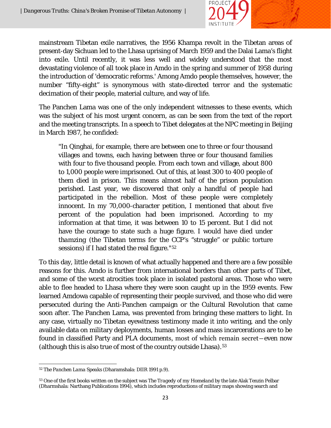

mainstream Tibetan exile narratives, the 1956 Khampa revolt in the Tibetan areas of present-day Sichuan led to the Lhasa uprising of March 1959 and the Dalai Lama's flight into exile. Until recently, it was less well and widely understood that the most devastating violence of all took place in Amdo in the spring and summer of 1958 during the introduction of 'democratic reforms.' Among Amdo people themselves, however, the number "fifty-eight" is synonymous with state-directed terror and the systematic decimation of their people, material culture, and way of life.

The Panchen Lama was one of the only independent witnesses to these events, which was the subject of his most urgent concern, as can be seen from the text of the report and the meeting transcripts. In a speech to Tibet delegates at the NPC meeting in Beijing in March 1987, he confided:

"In Qinghai, for example, there are between one to three or four thousand villages and towns, each having between three or four thousand families with four to five thousand people. From each town and village, about 800 to 1,000 people were imprisoned. Out of this, at least 300 to 400 people of them died in prison. This means almost half of the prison population perished. Last year, we discovered that only a handful of people had participated in the rebellion. Most of these people were completely innocent. In my 70,000-character petition, I mentioned that about five percent of the population had been imprisoned. According to my information at that time, it was between 10 to 15 percent. But I did not have the courage to state such a huge figure. I would have died under *thamzing* (the Tibetan terms for the CCP's "struggle" or public torture sessions) if I had stated the real figure."[52](#page-24-0)

To this day, little detail is known of what actually happened and there are a few possible reasons for this. Amdo is further from international borders than other parts of Tibet, and some of the worst atrocities took place in isolated pastoral areas. Those who were able to flee headed to Lhasa where they were soon caught up in the 1959 events. Few learned Amdowa capable of representing their people survived, and those who did were persecuted during the Anti-Panchen campaign or the Cultural Revolution that came soon after. The Panchen Lama, was prevented from bringing these matters to light. In any case, virtually no Tibetan eyewitness testimony made it into writing, and the only available data on military deployments, human losses and mass incarcerations are to be found in classified Party and PLA documents, most of which remain secret―even now (although this is also true of most of the country outside Lhasa).[53](#page-24-1)

<span id="page-24-0"></span>l <sup>52</sup> *The Panchen Lama Speaks* (Dharamshala: DIIR 1991 p.9).

<span id="page-24-1"></span><sup>53</sup> One of the first books written on the subject was *The Tragedy of my Homeland* by the late Alak Tenzin Pelbar (Dharmshala: Narthang Publications 1994), which includes reproductions of military maps showing search and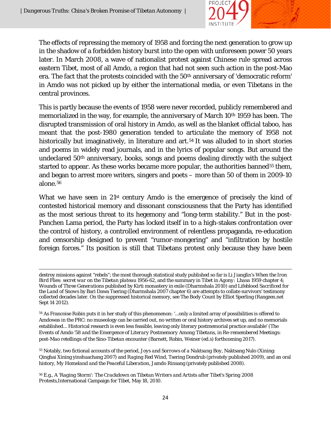

The effects of repressing the memory of 1958 and forcing the next generation to grow up in the shadow of a forbidden history burst into the open with unforeseen power 50 years later. In March 2008, a wave of nationalist protest against Chinese rule spread across eastern Tibet, most of all Amdo, a region that had not seen such action in the post-Mao era. The fact that the protests coincided with the 50<sup>th</sup> anniversary of 'democratic reform' in Amdo was not picked up by either the international media, or even Tibetans in the central provinces.

This is partly because the events of 1958 were never recorded, publicly remembered and memorialized in the way, for example, the anniversary of March 10th 1959 has been. The disrupted transmission of oral history in Amdo, as well as the blanket official taboo, has meant that the post-1980 generation tended to articulate the memory of 1958 not historically but imaginatively, in literature and art.<sup>[54](#page-25-0)</sup> It was alluded to in short stories and poems in widely read journals, and in the lyrics of popular songs. But around the undeclared 50th anniversary, books, songs and poems dealing directly with the subject started to appear. As these works became more popular, the authorities banned<sup>[55](#page-25-1)</sup> them, and began to arrest more writers, singers and poets – more than 50 of them in 2009-10 alone.[56](#page-25-2)

What we have seen in 21<sup>st</sup> century Amdo is the emergence of precisely the kind of contested historical memory and dissonant consciousness that the Party has identified as the most serious threat to its hegemony and "long-term stability." But in the post-Panchen Lama period, the Party has locked itself in to a high-stakes confrontation over the control of history, a controlled environment of relentless propaganda, re-education and censorship designed to prevent "rumor-mongering" and "infiltration by hostile foreign forces." Its position is still that Tibetans protest only because they have been

<span id="page-25-1"></span><sup>55</sup> Notably, two fictional accounts of the period, *Joys and Sorrows of a Naktsang Boy*, Naktsang Nulo (Xining: Qinghai Xining yinshuachang 2007) and *Raging Red Wind*, Tsering Dondrub (privately published 2009), and an oral history, *My Homeland and the Peaceful Liberation*, Jamdo Rinsang (privately published 2008).

 $\overline{\phantom{a}}$ destroy missions against "rebels"; the most thorough statistical study published so far is Li Jianglin's *When the Iron Bird Flies: secret war on the Tibetan plateau 1956-62*, and the summary in *Tibet in Agony: Lhasa 1959* chapter 4; *Wounds of Three Generations* published by Kirti monastery in exile (Dharmshala 2010) and *Lifeblood Sacrificed for the Land of Snows* by Bari Dawa Tsering (Dharmshala 2007 chapter 6) are attempts to collate survivors' testimony collected decades later. On the suppressed historical memory, see *The Body Count* by Elliot Sperling (Rangzen.net Sept 14 2012).

<span id="page-25-0"></span><sup>54</sup> As Francoise Robin puts it in her study of this phenomenon: '...only a limited array of possibilities is offered to Amdowas in the PRC: no museology can be carried out, no written or oral history archives set up, and no memorials established... Historical research is even less feasible, leaving only literary postmemorial practice available' (*The Events of Amdo '58 and the Emergence of Literary Postmemory Among Tibetans*, in *Re-remembered Meetings: post-Mao retellings of the Sino-Tibetan encounter* (Barnett, Robin, Weiner (ed.s) forthcoming 2017).

<span id="page-25-2"></span><sup>56</sup> E.g., *A 'Raging Storm': The Crackdown on Tibetan Writers and Artists after Tibet's Spring 2008 Protests*,International Campaign for Tibet, May 18, 2010.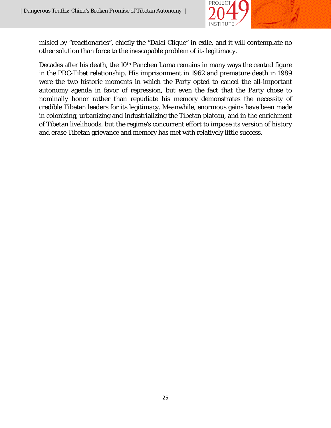

misled by "reactionaries", chiefly the "Dalai Clique" in exile, and it will contemplate no other solution than force to the inescapable problem of its legitimacy.

Decades after his death, the 10<sup>th</sup> Panchen Lama remains in many ways the central figure in the PRC-Tibet relationship. His imprisonment in 1962 and premature death in 1989 were the two historic moments in which the Party opted to cancel the all-important autonomy agenda in favor of repression, but even the fact that the Party chose to nominally honor rather than repudiate his memory demonstrates the necessity of credible Tibetan leaders for its legitimacy. Meanwhile, enormous gains have been made in colonizing, urbanizing and industrializing the Tibetan plateau, and in the enrichment of Tibetan livelihoods, but the regime's concurrent effort to impose its version of history and erase Tibetan grievance and memory has met with relatively little success.